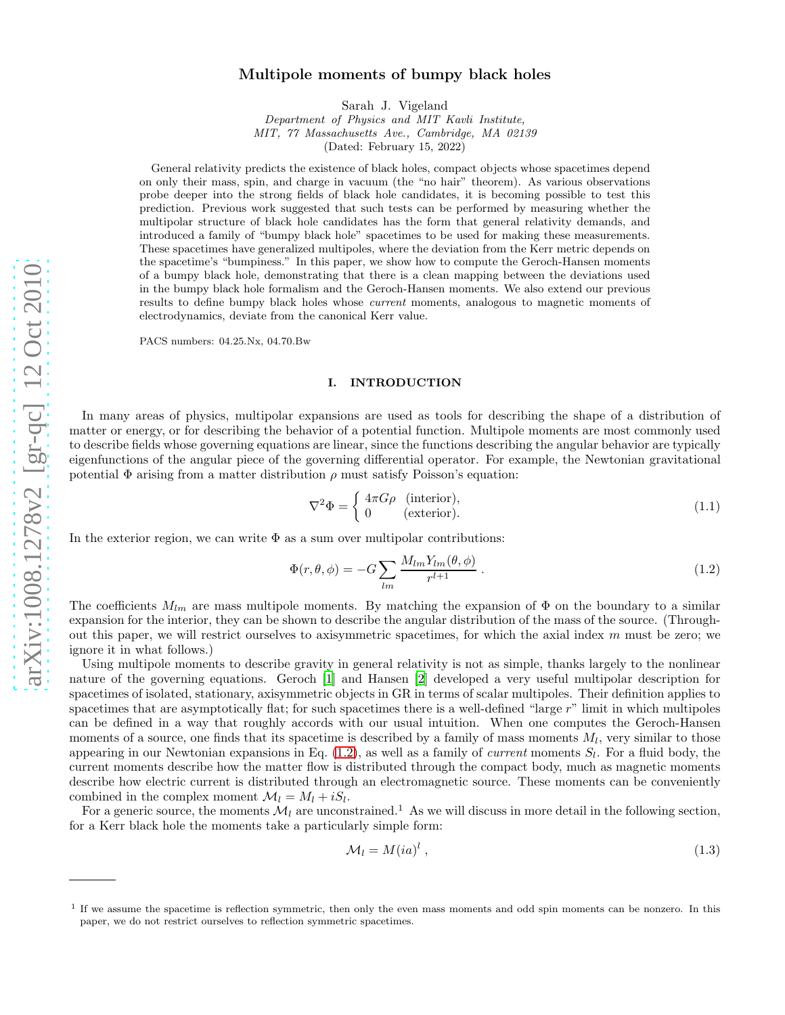# arXiv:1008.1278v2 [gr-qc] 12 Oct 2010 [arXiv:1008.1278v2 \[gr-qc\] 12 Oct 2010](http://arxiv.org/abs/1008.1278v2)

# Multipole moments of bumpy black holes

Sarah J. Vigeland

Department of Physics and MIT Kavli Institute, MIT, 77 Massachusetts Ave., Cambridge, MA 02139 (Dated: February 15, 2022)

General relativity predicts the existence of black holes, compact objects whose spacetimes depend on only their mass, spin, and charge in vacuum (the "no hair" theorem). As various observations probe deeper into the strong fields of black hole candidates, it is becoming possible to test this prediction. Previous work suggested that such tests can be performed by measuring whether the multipolar structure of black hole candidates has the form that general relativity demands, and introduced a family of "bumpy black hole" spacetimes to be used for making these measurements. These spacetimes have generalized multipoles, where the deviation from the Kerr metric depends on the spacetime's "bumpiness." In this paper, we show how to compute the Geroch-Hansen moments of a bumpy black hole, demonstrating that there is a clean mapping between the deviations used in the bumpy black hole formalism and the Geroch-Hansen moments. We also extend our previous results to define bumpy black holes whose current moments, analogous to magnetic moments of electrodynamics, deviate from the canonical Kerr value.

PACS numbers: 04.25.Nx, 04.70.Bw

# I. INTRODUCTION

In many areas of physics, multipolar expansions are used as tools for describing the shape of a distribution of matter or energy, or for describing the behavior of a potential function. Multipole moments are most commonly used to describe fields whose governing equations are linear, since the functions describing the angular behavior are typically eigenfunctions of the angular piece of the governing differential operator. For example, the Newtonian gravitational potential  $\Phi$  arising from a matter distribution  $\rho$  must satisfy Poisson's equation:

$$
\nabla^2 \Phi = \begin{cases} 4\pi G \rho & (\text{interior}), \\ 0 & (\text{exterior}). \end{cases}
$$
 (1.1)

In the exterior region, we can write  $\Phi$  as a sum over multipolar contributions:

<span id="page-0-0"></span>
$$
\Phi(r,\theta,\phi) = -G \sum_{lm} \frac{M_{lm} Y_{lm}(\theta,\phi)}{r^{l+1}}.
$$
\n(1.2)

The coefficients  $M_{lm}$  are mass multipole moments. By matching the expansion of  $\Phi$  on the boundary to a similar expansion for the interior, they can be shown to describe the angular distribution of the mass of the source. (Throughout this paper, we will restrict ourselves to axisymmetric spacetimes, for which the axial index  $m$  must be zero; we ignore it in what follows.)

Using multipole moments to describe gravity in general relativity is not as simple, thanks largely to the nonlinear nature of the governing equations. Geroch [\[1](#page-14-0)] and Hansen [\[2](#page-14-1)] developed a very useful multipolar description for spacetimes of isolated, stationary, axisymmetric objects in GR in terms of scalar multipoles. Their definition applies to spacetimes that are asymptotically flat; for such spacetimes there is a well-defined "large  $r$ " limit in which multipoles can be defined in a way that roughly accords with our usual intuition. When one computes the Geroch-Hansen moments of a source, one finds that its spacetime is described by a family of mass moments  $M_l$ , very similar to those appearing in our Newtonian expansions in Eq.  $(1.2)$ , as well as a family of *current* moments  $S_l$ . For a fluid body, the current moments describe how the matter flow is distributed through the compact body, much as magnetic moments describe how electric current is distributed through an electromagnetic source. These moments can be conveniently combined in the complex moment  $\mathcal{M}_l = M_l + iS_l$ .

For a generic source, the moments  $\mathcal{M}_l$  are unconstrained.<sup>1</sup> As we will discuss in more detail in the following section, for a Kerr black hole the moments take a particularly simple form:

<span id="page-0-1"></span>
$$
\mathcal{M}_l = M(ia)^l \,, \tag{1.3}
$$

<sup>&</sup>lt;sup>1</sup> If we assume the spacetime is reflection symmetric, then only the even mass moments and odd spin moments can be nonzero. In this paper, we do not restrict ourselves to reflection symmetric spacetimes.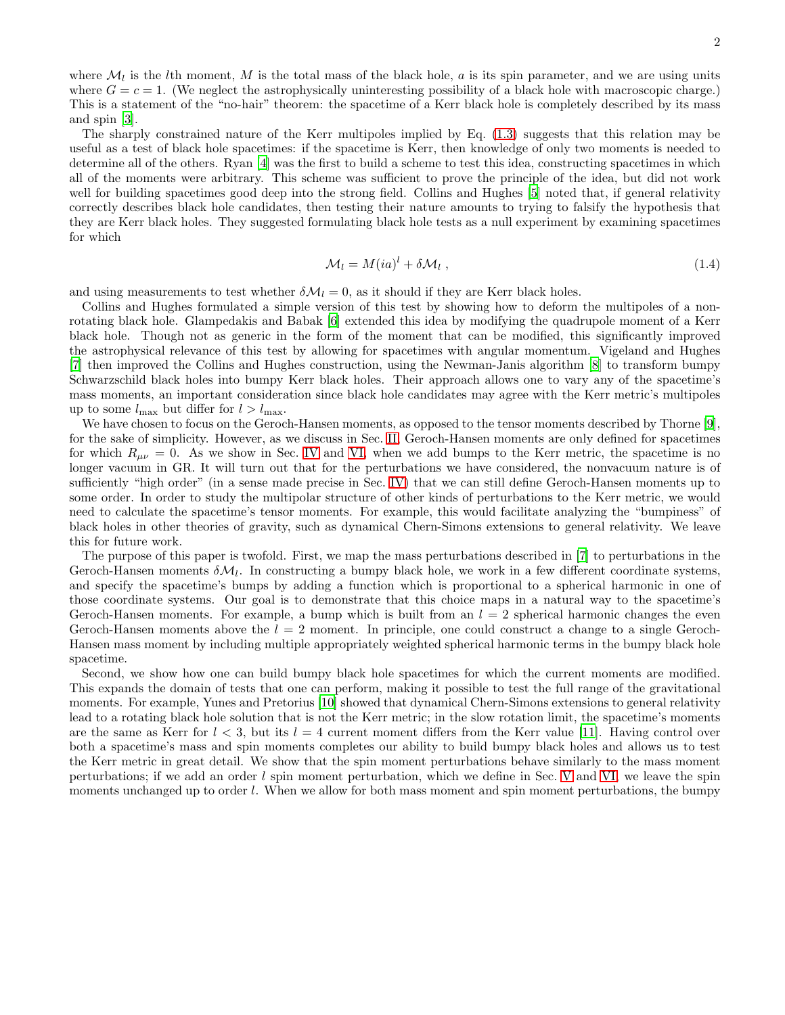where  $\mathcal{M}_l$  is the lth moment, M is the total mass of the black hole, a is its spin parameter, and we are using units where  $G = c = 1$ . (We neglect the astrophysically uninteresting possibility of a black hole with macroscopic charge.) This is a statement of the "no-hair" theorem: the spacetime of a Kerr black hole is completely described by its mass and spin [\[3](#page-14-2)].

The sharply constrained nature of the Kerr multipoles implied by Eq. [\(1.3\)](#page-0-1) suggests that this relation may be useful as a test of black hole spacetimes: if the spacetime is Kerr, then knowledge of only two moments is needed to determine all of the others. Ryan [\[4\]](#page-14-3) was the first to build a scheme to test this idea, constructing spacetimes in which all of the moments were arbitrary. This scheme was sufficient to prove the principle of the idea, but did not work well for building spacetimes good deep into the strong field. Collins and Hughes [\[5](#page-14-4)] noted that, if general relativity correctly describes black hole candidates, then testing their nature amounts to trying to falsify the hypothesis that they are Kerr black holes. They suggested formulating black hole tests as a null experiment by examining spacetimes for which

$$
\mathcal{M}_l = M(ia)^l + \delta \mathcal{M}_l , \qquad (1.4)
$$

and using measurements to test whether  $\delta M_l = 0$ , as it should if they are Kerr black holes.

Collins and Hughes formulated a simple version of this test by showing how to deform the multipoles of a nonrotating black hole. Glampedakis and Babak [\[6\]](#page-14-5) extended this idea by modifying the quadrupole moment of a Kerr black hole. Though not as generic in the form of the moment that can be modified, this significantly improved the astrophysical relevance of this test by allowing for spacetimes with angular momentum. Vigeland and Hughes [\[7\]](#page-14-6) then improved the Collins and Hughes construction, using the Newman-Janis algorithm [\[8](#page-14-7)] to transform bumpy Schwarzschild black holes into bumpy Kerr black holes. Their approach allows one to vary any of the spacetime's mass moments, an important consideration since black hole candidates may agree with the Kerr metric's multipoles up to some  $l_{\text{max}}$  but differ for  $l > l_{\text{max}}$ .

We have chosen to focus on the Geroch-Hansen moments, as opposed to the tensor moments described by Thorne [\[9\]](#page-14-8), for the sake of simplicity. However, as we discuss in Sec. [II,](#page-2-0) Geroch-Hansen moments are only defined for spacetimes for which  $R_{\mu\nu} = 0$ . As we show in Sec. [IV](#page-7-0) and [VI,](#page-11-0) when we add bumps to the Kerr metric, the spacetime is no longer vacuum in GR. It will turn out that for the perturbations we have considered, the nonvacuum nature is of sufficiently "high order" (in a sense made precise in Sec. [IV\)](#page-7-0) that we can still define Geroch-Hansen moments up to some order. In order to study the multipolar structure of other kinds of perturbations to the Kerr metric, we would need to calculate the spacetime's tensor moments. For example, this would facilitate analyzing the "bumpiness" of black holes in other theories of gravity, such as dynamical Chern-Simons extensions to general relativity. We leave this for future work.

The purpose of this paper is twofold. First, we map the mass perturbations described in [\[7](#page-14-6)] to perturbations in the Geroch-Hansen moments  $\delta M_l$ . In constructing a bumpy black hole, we work in a few different coordinate systems, and specify the spacetime's bumps by adding a function which is proportional to a spherical harmonic in one of those coordinate systems. Our goal is to demonstrate that this choice maps in a natural way to the spacetime's Geroch-Hansen moments. For example, a bump which is built from an  $l = 2$  spherical harmonic changes the even Geroch-Hansen moments above the  $l = 2$  moment. In principle, one could construct a change to a single Geroch-Hansen mass moment by including multiple appropriately weighted spherical harmonic terms in the bumpy black hole spacetime.

Second, we show how one can build bumpy black hole spacetimes for which the current moments are modified. This expands the domain of tests that one can perform, making it possible to test the full range of the gravitational moments. For example, Yunes and Pretorius [\[10\]](#page-14-9) showed that dynamical Chern-Simons extensions to general relativity lead to a rotating black hole solution that is not the Kerr metric; in the slow rotation limit, the spacetime's moments are the same as Kerr for  $l < 3$ , but its  $l = 4$  current moment differs from the Kerr value [\[11](#page-14-10)]. Having control over both a spacetime's mass and spin moments completes our ability to build bumpy black holes and allows us to test the Kerr metric in great detail. We show that the spin moment perturbations behave similarly to the mass moment perturbations; if we add an order l spin moment perturbation, which we define in Sec. [V](#page-9-0) and [VI,](#page-11-0) we leave the spin moments unchanged up to order l. When we allow for both mass moment and spin moment perturbations, the bumpy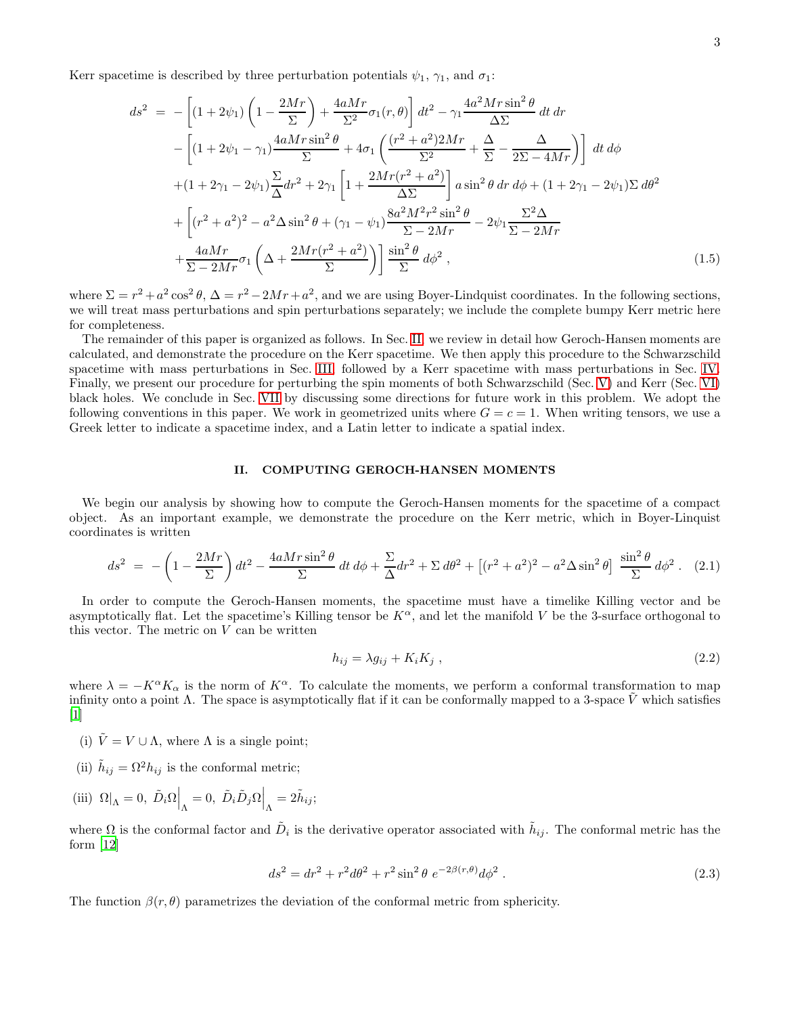Kerr spacetime is described by three perturbation potentials  $\psi_1$ ,  $\gamma_1$ , and  $\sigma_1$ :

$$
ds^{2} = -\left[ (1+2\psi_{1}) \left( 1 - \frac{2Mr}{\Sigma} \right) + \frac{4aMr}{\Sigma^{2}} \sigma_{1}(r,\theta) \right] dt^{2} - \gamma_{1} \frac{4a^{2}Mr\sin^{2}\theta}{\Delta\Sigma} dt dr - \left[ (1+2\psi_{1} - \gamma_{1}) \frac{4aMr\sin^{2}\theta}{\Sigma} + 4\sigma_{1} \left( \frac{(r^{2} + a^{2})2Mr}{\Sigma^{2}} + \frac{\Delta}{\Sigma} - \frac{\Delta}{2\Sigma - 4Mr} \right) \right] dt d\phi + (1+2\gamma_{1} - 2\psi_{1}) \frac{\Sigma}{\Delta} dr^{2} + 2\gamma_{1} \left[ 1 + \frac{2Mr(r^{2} + a^{2})}{\Delta\Sigma} \right] a \sin^{2}\theta dr d\phi + (1+2\gamma_{1} - 2\psi_{1}) \Sigma d\theta^{2} + \left[ (r^{2} + a^{2})^{2} - a^{2}\Delta \sin^{2}\theta + (\gamma_{1} - \psi_{1}) \frac{8a^{2}M^{2}r^{2}\sin^{2}\theta}{\Sigma - 2Mr} - 2\psi_{1} \frac{\Sigma^{2}\Delta}{\Sigma - 2Mr} + \frac{4aMr}{\Sigma - 2Mr} \sigma_{1} \left( \Delta + \frac{2Mr(r^{2} + a^{2})}{\Sigma} \right) \right] \frac{\sin^{2}\theta}{\Sigma} d\phi^{2},
$$
(1.5)

where  $\Sigma = r^2 + a^2 \cos^2 \theta$ ,  $\Delta = r^2 - 2Mr + a^2$ , and we are using Boyer-Lindquist coordinates. In the following sections, we will treat mass perturbations and spin perturbations separately; we include the complete bumpy Kerr metric here for completeness.

The remainder of this paper is organized as follows. In Sec. [II,](#page-2-0) we review in detail how Geroch-Hansen moments are calculated, and demonstrate the procedure on the Kerr spacetime. We then apply this procedure to the Schwarzschild spacetime with mass perturbations in Sec. [III,](#page-5-0) followed by a Kerr spacetime with mass perturbations in Sec. [IV.](#page-7-0) Finally, we present our procedure for perturbing the spin moments of both Schwarzschild (Sec. [V\)](#page-9-0) and Kerr (Sec. [VI\)](#page-11-0) black holes. We conclude in Sec. [VII](#page-13-0) by discussing some directions for future work in this problem. We adopt the following conventions in this paper. We work in geometrized units where  $G = c = 1$ . When writing tensors, we use a Greek letter to indicate a spacetime index, and a Latin letter to indicate a spatial index.

### <span id="page-2-0"></span>II. COMPUTING GEROCH-HANSEN MOMENTS

We begin our analysis by showing how to compute the Geroch-Hansen moments for the spacetime of a compact object. As an important example, we demonstrate the procedure on the Kerr metric, which in Boyer-Linquist coordinates is written

$$
ds^{2} = -\left(1 - \frac{2Mr}{\Sigma}\right)dt^{2} - \frac{4aMr\sin^{2}\theta}{\Sigma}dt\,d\phi + \frac{\Sigma}{\Delta}dr^{2} + \Sigma d\theta^{2} + \left[(r^{2} + a^{2})^{2} - a^{2}\Delta\sin^{2}\theta\right]\frac{\sin^{2}\theta}{\Sigma}d\phi^{2}.
$$
 (2.1)

In order to compute the Geroch-Hansen moments, the spacetime must have a timelike Killing vector and be asymptotically flat. Let the spacetime's Killing tensor be  $K^{\alpha}$ , and let the manifold V be the 3-surface orthogonal to this vector. The metric on  $V$  can be written

$$
h_{ij} = \lambda g_{ij} + K_i K_j \,, \tag{2.2}
$$

where  $\lambda = -K^{\alpha}K_{\alpha}$  is the norm of  $K^{\alpha}$ . To calculate the moments, we perform a conformal transformation to map infinity onto a point  $\Lambda$ . The space is asymptotically flat if it can be conformally mapped to a 3-space  $\tilde{V}$  which satisfies  $\lceil 1 \rceil$ 

- (i)  $\tilde{V} = V \cup \Lambda$ , where  $\Lambda$  is a single point;
- (ii)  $\tilde{h}_{ij} = \Omega^2 h_{ij}$  is the conformal metric;
- (iii)  $\Omega|_{\Lambda} = 0$ ,  $\tilde{D}_i \Omega \Big|_{\Lambda} = 0$ ,  $\tilde{D}_i \tilde{D}_j \Omega \Big|_{\Lambda} = 2\tilde{h}_{ij}$ ;

where  $\Omega$  is the conformal factor and  $\tilde{D}_i$  is the derivative operator associated with  $\tilde{h}_{ij}$ . The conformal metric has the form [\[12](#page-14-11)]

<span id="page-2-1"></span>
$$
ds^{2} = dr^{2} + r^{2}d\theta^{2} + r^{2}\sin^{2}\theta \ e^{-2\beta(r,\theta)}d\phi^{2} .
$$
 (2.3)

The function  $\beta(r, \theta)$  parametrizes the deviation of the conformal metric from sphericity.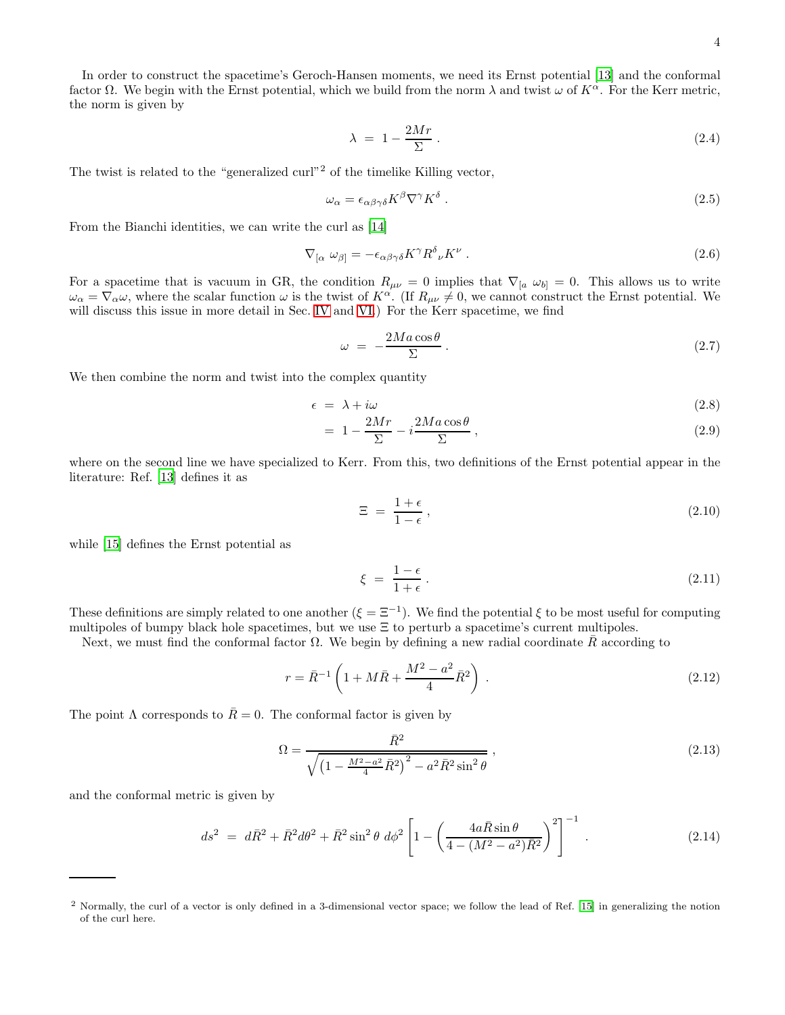In order to construct the spacetime's Geroch-Hansen moments, we need its Ernst potential [\[13\]](#page-14-12) and the conformal factor  $\Omega$ . We begin with the Ernst potential, which we build from the norm  $\lambda$  and twist  $\omega$  of  $K^{\alpha}$ . For the Kerr metric, the norm is given by

$$
\lambda = 1 - \frac{2Mr}{\Sigma} \,. \tag{2.4}
$$

The twist is related to the "generalized  $\text{curl}^{2}$  of the timelike Killing vector,

$$
\omega_{\alpha} = \epsilon_{\alpha\beta\gamma\delta} K^{\beta} \nabla^{\gamma} K^{\delta} . \tag{2.5}
$$

From the Bianchi identities, we can write the curl as [\[14\]](#page-14-13)

$$
\nabla_{[\alpha} \ \omega_{\beta]} = -\epsilon_{\alpha\beta\gamma\delta} K^{\gamma} R^{\delta}_{\ \nu} K^{\nu} \ . \tag{2.6}
$$

For a spacetime that is vacuum in GR, the condition  $R_{\mu\nu} = 0$  implies that  $\nabla_{[a} \omega_{b]} = 0$ . This allows us to write  $\omega_{\alpha} = \overline{\nabla}_{\alpha} \omega$ , where the scalar function  $\omega$  is the twist of  $K^{\alpha}$ . (If  $R_{\mu\nu} \neq 0$ , we cannot construct the Ernst potential. We will discuss this issue in more detail in Sec. [IV](#page-7-0) and [VI.](#page-11-0)) For the Kerr spacetime, we find

$$
\omega = -\frac{2Ma\cos\theta}{\Sigma} \,. \tag{2.7}
$$

We then combine the norm and twist into the complex quantity

$$
\epsilon = \lambda + i\omega \tag{2.8}
$$

$$
= 1 - \frac{2Mr}{\Sigma} - i\frac{2Ma\cos\theta}{\Sigma}, \qquad (2.9)
$$

where on the second line we have specialized to Kerr. From this, two definitions of the Ernst potential appear in the literature: Ref. [\[13](#page-14-12)] defines it as

<span id="page-3-0"></span>
$$
\Xi = \frac{1+\epsilon}{1-\epsilon},\tag{2.10}
$$

while [\[15\]](#page-14-14) defines the Ernst potential as

$$
\xi = \frac{1 - \epsilon}{1 + \epsilon} \,. \tag{2.11}
$$

These definitions are simply related to one another  $(\xi = \Xi^{-1})$ . We find the potential  $\xi$  to be most useful for computing multipoles of bumpy black hole spacetimes, but we use  $\Xi$  to perturb a spacetime's current multipoles.

Next, we must find the conformal factor Ω. We begin by defining a new radial coordinate  $\bar{R}$  according to

$$
r = \bar{R}^{-1} \left( 1 + M\bar{R} + \frac{M^2 - a^2}{4} \bar{R}^2 \right) \,. \tag{2.12}
$$

The point  $\Lambda$  corresponds to  $\bar{R}=0$ . The conformal factor is given by

$$
\Omega = \frac{\bar{R}^2}{\sqrt{\left(1 - \frac{M^2 - a^2}{4}\bar{R}^2\right)^2 - a^2\bar{R}^2\sin^2\theta}}\,,\tag{2.13}
$$

and the conformal metric is given by

$$
ds^{2} = d\bar{R}^{2} + \bar{R}^{2}d\theta^{2} + \bar{R}^{2}\sin^{2}\theta \ d\phi^{2} \left[1 - \left(\frac{4a\bar{R}\sin\theta}{4 - (M^{2} - a^{2})\bar{R}^{2}}\right)^{2}\right]^{-1}.
$$
 (2.14)

<sup>2</sup> Normally, the curl of a vector is only defined in a 3-dimensional vector space; we follow the lead of Ref. [\[15\]](#page-14-14) in generalizing the notion of the curl here.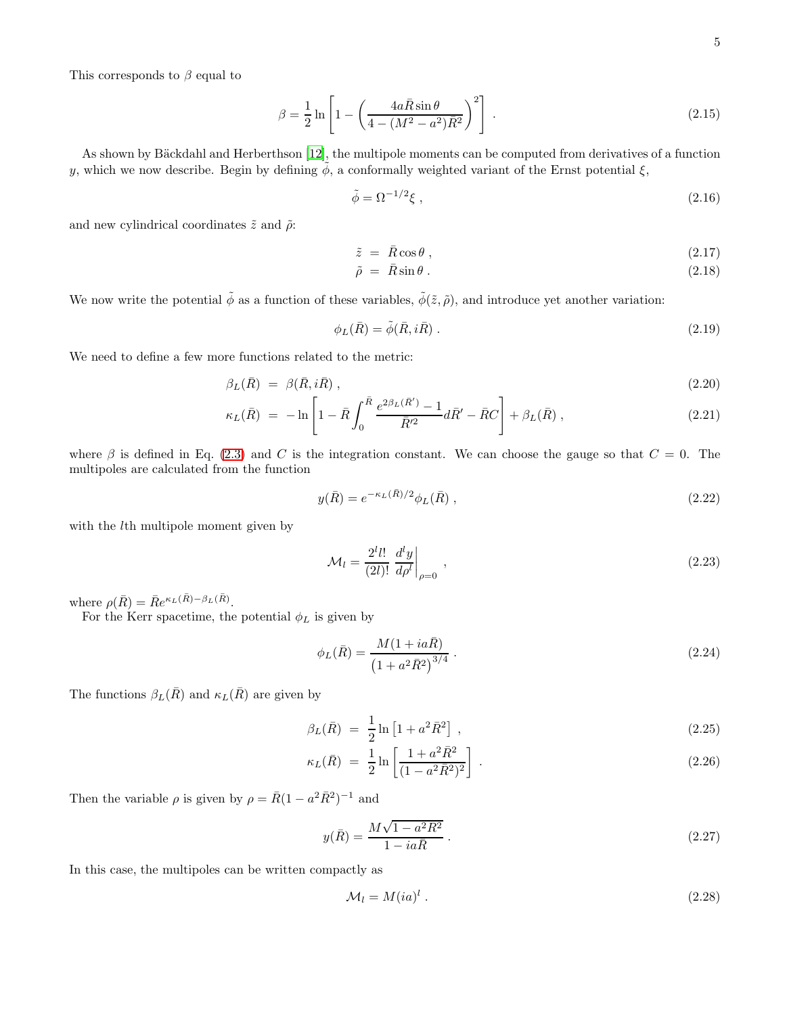This corresponds to  $\beta$  equal to

$$
\beta = \frac{1}{2} \ln \left[ 1 - \left( \frac{4a\bar{R}\sin\theta}{4 - (M^2 - a^2)\bar{R}^2} \right)^2 \right].
$$
\n(2.15)

As shown by Bäckdahl and Herberthson [\[12](#page-14-11)], the multipole moments can be computed from derivatives of a function y, which we now describe. Begin by defining  $\tilde{\phi}$ , a conformally weighted variant of the Ernst potential  $\xi$ ,

$$
\tilde{\phi} = \Omega^{-1/2} \xi \tag{2.16}
$$

and new cylindrical coordinates  $\tilde{z}$  and  $\tilde{\rho}$ :

$$
\tilde{z} = \bar{R}\cos\theta \,,\tag{2.17}
$$

$$
\tilde{\rho} = \bar{R}\sin\theta \,. \tag{2.18}
$$

We now write the potential  $\tilde{\phi}$  as a function of these variables,  $\tilde{\phi}(\tilde{z}, \tilde{\rho})$ , and introduce yet another variation:

$$
\phi_L(\bar{R}) = \tilde{\phi}(\bar{R}, i\bar{R}) \tag{2.19}
$$

We need to define a few more functions related to the metric:

$$
\beta_L(\bar{R}) = \beta(\bar{R}, i\bar{R}), \qquad (2.20)
$$

$$
\kappa_L(\bar{R}) = -\ln\left[1 - \bar{R}\int_0^{\bar{R}} \frac{e^{2\beta_L(\bar{R}')}-1}{\bar{R}'^2} d\bar{R}' - \bar{R}C\right] + \beta_L(\bar{R}), \qquad (2.21)
$$

where  $\beta$  is defined in Eq. [\(2.3\)](#page-2-1) and C is the integration constant. We can choose the gauge so that  $C = 0$ . The multipoles are calculated from the function

$$
y(\bar{R}) = e^{-\kappa_L(\bar{R})/2} \phi_L(\bar{R}), \qquad (2.22)
$$

with the *l*th multipole moment given by

$$
\mathcal{M}_l = \frac{2^l l!}{(2l)!} \left. \frac{d^l y}{d\rho^l} \right|_{\rho=0} , \qquad (2.23)
$$

where  $\rho(\bar{R}) = \bar{R}e^{\kappa_L(\bar{R}) - \beta_L(\bar{R})}$ .

For the Kerr spacetime, the potential  $\phi_L$  is given by

$$
\phi_L(\bar{R}) = \frac{M(1 + ia\bar{R})}{\left(1 + a^2\bar{R}^2\right)^{3/4}}.
$$
\n(2.24)

The functions  $\beta_L(\bar{R})$  and  $\kappa_L(\bar{R})$  are given by

$$
\beta_L(\bar{R}) = \frac{1}{2} \ln \left[ 1 + a^2 \bar{R}^2 \right],\tag{2.25}
$$

$$
\kappa_L(\bar{R}) = \frac{1}{2} \ln \left[ \frac{1 + a^2 R^2}{(1 - a^2 \bar{R}^2)^2} \right].
$$
\n(2.26)

Then the variable  $\rho$  is given by  $\rho = \bar{R}(1 - a^2 \bar{R}^2)^{-1}$  and

$$
y(\bar{R}) = \frac{M\sqrt{1 - a^2 \bar{R}^2}}{1 - ia\bar{R}}.
$$
\n(2.27)

In this case, the multipoles can be written compactly as

$$
\mathcal{M}_l = M(ia)^l \tag{2.28}
$$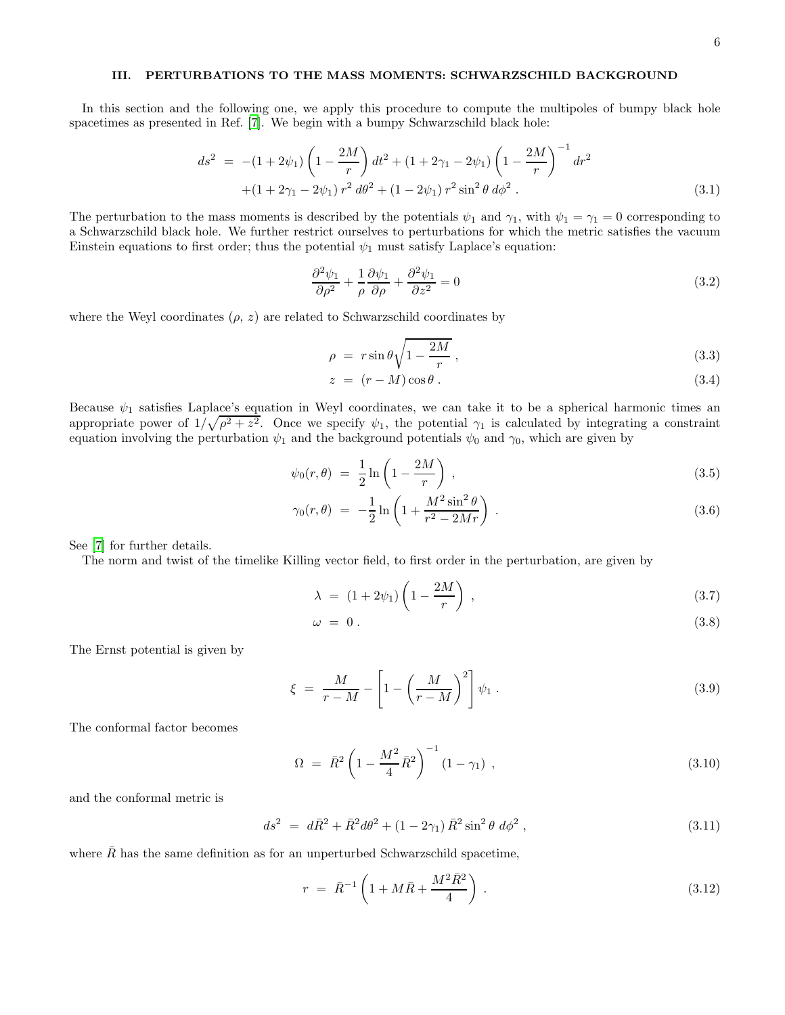# <span id="page-5-0"></span>III. PERTURBATIONS TO THE MASS MOMENTS: SCHWARZSCHILD BACKGROUND

In this section and the following one, we apply this procedure to compute the multipoles of bumpy black hole spacetimes as presented in Ref. [\[7\]](#page-14-6). We begin with a bumpy Schwarzschild black hole:

$$
ds^{2} = -(1+2\psi_{1})\left(1-\frac{2M}{r}\right)dt^{2} + (1+2\gamma_{1}-2\psi_{1})\left(1-\frac{2M}{r}\right)^{-1}dr^{2} + (1+2\gamma_{1}-2\psi_{1})r^{2}d\theta^{2} + (1-2\psi_{1})r^{2}\sin^{2}\theta d\phi^{2}.
$$
\n(3.1)

The perturbation to the mass moments is described by the potentials  $\psi_1$  and  $\gamma_1$ , with  $\psi_1 = \gamma_1 = 0$  corresponding to a Schwarzschild black hole. We further restrict ourselves to perturbations for which the metric satisfies the vacuum Einstein equations to first order; thus the potential  $\psi_1$  must satisfy Laplace's equation:

<span id="page-5-1"></span>
$$
\frac{\partial^2 \psi_1}{\partial \rho^2} + \frac{1}{\rho} \frac{\partial \psi_1}{\partial \rho} + \frac{\partial^2 \psi_1}{\partial z^2} = 0
$$
\n(3.2)

where the Weyl coordinates  $(\rho, z)$  are related to Schwarzschild coordinates by

<span id="page-5-2"></span>
$$
\rho = r \sin \theta \sqrt{1 - \frac{2M}{r}}, \qquad (3.3)
$$

$$
z = (r - M)\cos\theta. \tag{3.4}
$$

Because  $\psi_1$  satisfies Laplace's equation in Weyl coordinates, we can take it to be a spherical harmonic times an appropriate power of  $1/\sqrt{\rho^2+z^2}$ . Once we specify  $\psi_1$ , the potential  $\gamma_1$  is calculated by integrating a constraint equation involving the perturbation  $\psi_1$  and the background potentials  $\psi_0$  and  $\gamma_0$ , which are given by

$$
\psi_0(r,\theta) = \frac{1}{2}\ln\left(1 - \frac{2M}{r}\right),\tag{3.5}
$$

$$
\gamma_0(r,\theta) = -\frac{1}{2}\ln\left(1 + \frac{M^2 \sin^2\theta}{r^2 - 2Mr}\right) \,. \tag{3.6}
$$

See [\[7\]](#page-14-6) for further details.

The norm and twist of the timelike Killing vector field, to first order in the perturbation, are given by

$$
\lambda = (1 + 2\psi_1) \left( 1 - \frac{2M}{r} \right) , \qquad (3.7)
$$

$$
\omega = 0. \tag{3.8}
$$

The Ernst potential is given by

$$
\xi = \frac{M}{r - M} - \left[1 - \left(\frac{M}{r - M}\right)^2\right] \psi_1.
$$
\n(3.9)

The conformal factor becomes

$$
\Omega = \bar{R}^2 \left( 1 - \frac{M^2}{4} \bar{R}^2 \right)^{-1} (1 - \gamma_1) , \qquad (3.10)
$$

and the conformal metric is

$$
ds^{2} = d\bar{R}^{2} + \bar{R}^{2}d\theta^{2} + (1 - 2\gamma_{1})\bar{R}^{2}\sin^{2}\theta \ d\phi^{2}, \qquad (3.11)
$$

where  $\overline{R}$  has the same definition as for an unperturbed Schwarzschild spacetime,

$$
r = \bar{R}^{-1} \left( 1 + M\bar{R} + \frac{M^2 \bar{R}^2}{4} \right) . \tag{3.12}
$$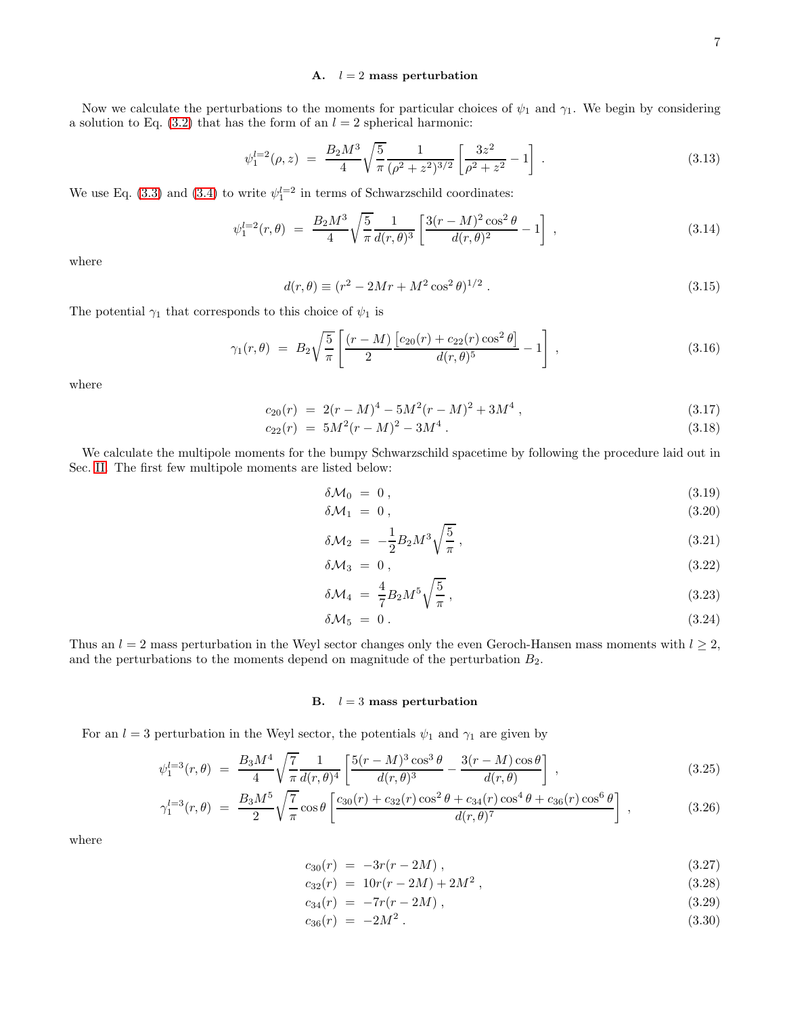# A.  $l = 2$  mass perturbation

Now we calculate the perturbations to the moments for particular choices of  $\psi_1$  and  $\gamma_1$ . We begin by considering a solution to Eq.  $(3.2)$  that has the form of an  $l = 2$  spherical harmonic:

$$
\psi_1^{l=2}(\rho, z) = \frac{B_2 M^3}{4} \sqrt{\frac{5}{\pi}} \frac{1}{(\rho^2 + z^2)^{3/2}} \left[ \frac{3z^2}{\rho^2 + z^2} - 1 \right] . \tag{3.13}
$$

We use Eq. [\(3.3\)](#page-5-2) and [\(3.4\)](#page-5-2) to write  $\psi_1^{l=2}$  in terms of Schwarzschild coordinates:

<span id="page-6-0"></span>
$$
\psi_1^{l=2}(r,\theta) = \frac{B_2 M^3}{4} \sqrt{\frac{5}{\pi}} \frac{1}{d(r,\theta)^3} \left[ \frac{3(r-M)^2 \cos^2 \theta}{d(r,\theta)^2} - 1 \right],
$$
\n(3.14)

where

<span id="page-6-3"></span>
$$
d(r,\theta) \equiv (r^2 - 2Mr + M^2 \cos^2 \theta)^{1/2} . \tag{3.15}
$$

The potential  $\gamma_1$  that corresponds to this choice of  $\psi_1$  is

<span id="page-6-1"></span>
$$
\gamma_1(r,\theta) = B_2 \sqrt{\frac{5}{\pi}} \left[ \frac{(r-M)}{2} \frac{\left[c_{20}(r) + c_{22}(r)\cos^2\theta\right]}{d(r,\theta)^5} - 1 \right],\tag{3.16}
$$

where

$$
c_{20}(r) = 2(r - M)^4 - 5M^2(r - M)^2 + 3M^4,
$$
\n(3.17)

$$
c_{22}(r) = 5M^2(r - M)^2 - 3M^4. \tag{3.18}
$$

We calculate the multipole moments for the bumpy Schwarzschild spacetime by following the procedure laid out in Sec. [II.](#page-2-0) The first few multipole moments are listed below:

$$
\delta \mathcal{M}_0 = 0, \qquad (3.19)
$$

$$
\delta \mathcal{M}_1 = 0, \qquad (3.20)
$$

$$
\delta \mathcal{M}_2 = -\frac{1}{2} B_2 M^3 \sqrt{\frac{5}{\pi}} \,, \tag{3.21}
$$

$$
\delta \mathcal{M}_3 = 0, \tag{3.22}
$$

$$
\delta \mathcal{M}_4 = \frac{4}{7} B_2 M^5 \sqrt{\frac{5}{\pi}} \,, \tag{3.23}
$$

$$
\delta \mathcal{M}_5 = 0. \tag{3.24}
$$

Thus an  $l = 2$  mass perturbation in the Weyl sector changes only the even Geroch-Hansen mass moments with  $l \geq 2$ , and the perturbations to the moments depend on magnitude of the perturbation  $B_2$ .

# B.  $l = 3$  mass perturbation

For an  $l = 3$  perturbation in the Weyl sector, the potentials  $\psi_1$  and  $\gamma_1$  are given by

<span id="page-6-2"></span>
$$
\psi_1^{l=3}(r,\theta) = \frac{B_3 M^4}{4} \sqrt{\frac{7}{\pi}} \frac{1}{d(r,\theta)^4} \left[ \frac{5(r-M)^3 \cos^3 \theta}{d(r,\theta)^3} - \frac{3(r-M)\cos \theta}{d(r,\theta)} \right] ,
$$
\n(3.25)

$$
\gamma_1^{l=3}(r,\theta) = \frac{B_3 M^5}{2} \sqrt{\frac{7}{\pi}} \cos \theta \left[ \frac{c_{30}(r) + c_{32}(r) \cos^2 \theta + c_{34}(r) \cos^4 \theta + c_{36}(r) \cos^6 \theta}{d(r,\theta)^7} \right],
$$
\n(3.26)

where

$$
c_{30}(r) = -3r(r - 2M), \qquad (3.27)
$$

$$
c_{32}(r) = 10r(r - 2M) + 2M^2, \qquad (3.28)
$$

$$
c_{34}(r) = -7r(r - 2M), \qquad (3.29)
$$

$$
c_{36}(r) = -2M^2. \tag{3.30}
$$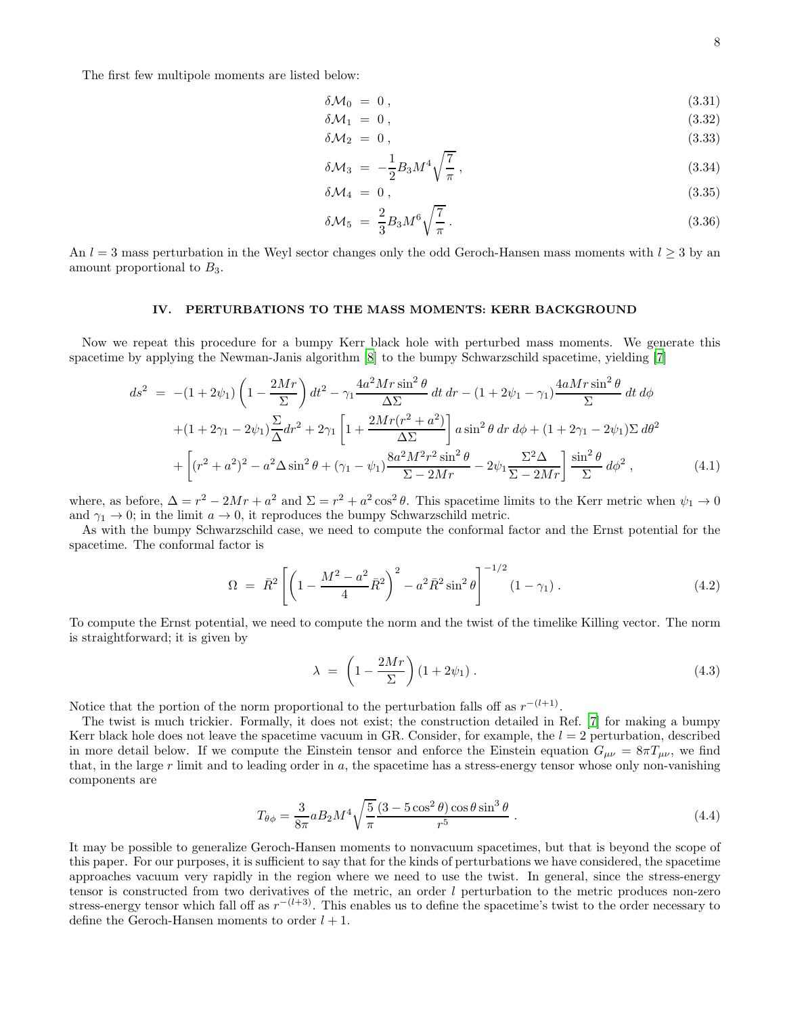The first few multipole moments are listed below:

$$
\delta \mathcal{M}_0 = 0, \qquad (3.31)
$$

$$
\delta \mathcal{M}_1 = 0, \tag{3.32}
$$

$$
\delta M_2 = 0, \tag{3.33}
$$

$$
\delta \mathcal{M}_3 = -\frac{1}{2} B_3 M^4 \sqrt{\frac{7}{\pi}} \,, \tag{3.34}
$$

$$
\delta \mathcal{M}_4 = 0 \,, \tag{3.35}
$$

$$
\delta \mathcal{M}_5 = \frac{2}{3} B_3 M^6 \sqrt{\frac{7}{\pi}} \,. \tag{3.36}
$$

An  $l = 3$  mass perturbation in the Weyl sector changes only the odd Geroch-Hansen mass moments with  $l \geq 3$  by an amount proportional to  $B_3$ .

# <span id="page-7-0"></span>IV. PERTURBATIONS TO THE MASS MOMENTS: KERR BACKGROUND

Now we repeat this procedure for a bumpy Kerr black hole with perturbed mass moments. We generate this spacetime by applying the Newman-Janis algorithm [\[8\]](#page-14-7) to the bumpy Schwarzschild spacetime, yielding [\[7](#page-14-6)]

$$
ds^{2} = -(1+2\psi_{1})\left(1-\frac{2Mr}{\Sigma}\right)dt^{2} - \gamma_{1}\frac{4a^{2}Mr\sin^{2}\theta}{\Delta\Sigma}dt dr - (1+2\psi_{1}-\gamma_{1})\frac{4aMr\sin^{2}\theta}{\Sigma}dt d\phi
$$

$$
+(1+2\gamma_{1}-2\psi_{1})\frac{\Sigma}{\Delta}dr^{2} + 2\gamma_{1}\left[1+\frac{2Mr(r^{2}+a^{2})}{\Delta\Sigma}\right]a\sin^{2}\theta dr d\phi + (1+2\gamma_{1}-2\psi_{1})\Sigma d\theta^{2}
$$

$$
+\left[(r^{2}+a^{2})^{2}-a^{2}\Delta\sin^{2}\theta + (\gamma_{1}-\psi_{1})\frac{8a^{2}M^{2}r^{2}\sin^{2}\theta}{\Sigma-2Mr} - 2\psi_{1}\frac{\Sigma^{2}\Delta}{\Sigma-2Mr}\right]\frac{\sin^{2}\theta}{\Sigma}d\phi^{2}, \qquad (4.1)
$$

where, as before,  $\Delta = r^2 - 2Mr + a^2$  and  $\Sigma = r^2 + a^2 \cos^2 \theta$ . This spacetime limits to the Kerr metric when  $\psi_1 \to 0$ and  $\gamma_1 \to 0$ ; in the limit  $a \to 0$ , it reproduces the bumpy Schwarzschild metric.

As with the bumpy Schwarzschild case, we need to compute the conformal factor and the Ernst potential for the spacetime. The conformal factor is

$$
\Omega = \bar{R}^2 \left[ \left( 1 - \frac{M^2 - a^2}{4} \bar{R}^2 \right)^2 - a^2 \bar{R}^2 \sin^2 \theta \right]^{-1/2} (1 - \gamma_1) . \tag{4.2}
$$

To compute the Ernst potential, we need to compute the norm and the twist of the timelike Killing vector. The norm is straightforward; it is given by

$$
\lambda = \left(1 - \frac{2Mr}{\Sigma}\right)(1 + 2\psi_1). \tag{4.3}
$$

Notice that the portion of the norm proportional to the perturbation falls off as  $r^{-(l+1)}$ .

The twist is much trickier. Formally, it does not exist; the construction detailed in Ref. [\[7](#page-14-6)] for making a bumpy Kerr black hole does not leave the spacetime vacuum in GR. Consider, for example, the  $l = 2$  perturbation, described in more detail below. If we compute the Einstein tensor and enforce the Einstein equation  $G_{\mu\nu} = 8\pi T_{\mu\nu}$ , we find that, in the large  $r$  limit and to leading order in  $a$ , the spacetime has a stress-energy tensor whose only non-vanishing components are

$$
T_{\theta\phi} = \frac{3}{8\pi} a B_2 M^4 \sqrt{\frac{5}{\pi}} \frac{(3 - 5\cos^2\theta)\cos\theta\sin^3\theta}{r^5} \,. \tag{4.4}
$$

It may be possible to generalize Geroch-Hansen moments to nonvacuum spacetimes, but that is beyond the scope of this paper. For our purposes, it is sufficient to say that for the kinds of perturbations we have considered, the spacetime approaches vacuum very rapidly in the region where we need to use the twist. In general, since the stress-energy tensor is constructed from two derivatives of the metric, an order l perturbation to the metric produces non-zero stress-energy tensor which fall off as  $r^{-(l+3)}$ . This enables us to define the spacetime's twist to the order necessary to define the Geroch-Hansen moments to order  $l + 1$ .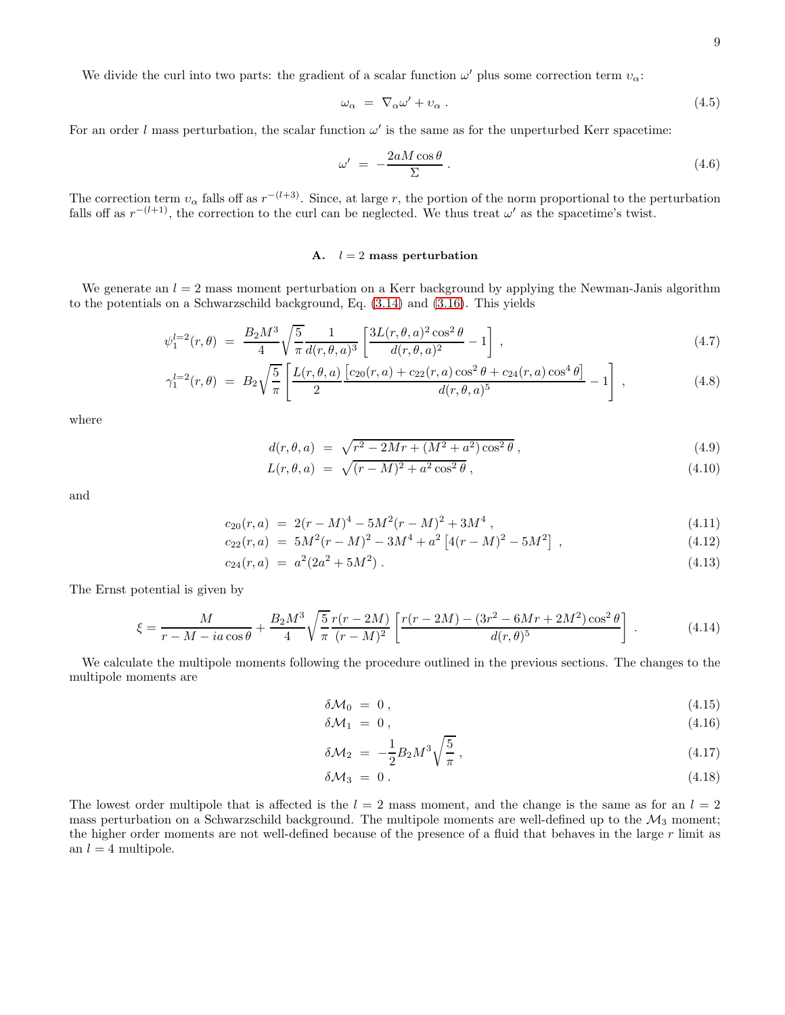We divide the curl into two parts: the gradient of a scalar function  $\omega'$  plus some correction term  $v_{\alpha}$ .

<span id="page-8-1"></span>
$$
\omega_{\alpha} = \nabla_{\alpha} \omega' + v_{\alpha} \,. \tag{4.5}
$$

For an order l mass perturbation, the scalar function  $\omega'$  is the same as for the unperturbed Kerr spacetime:

$$
\omega' = -\frac{2aM\cos\theta}{\Sigma} \,. \tag{4.6}
$$

The correction term  $v_\alpha$  falls off as  $r^{-(l+3)}$ . Since, at large r, the portion of the norm proportional to the perturbation falls off as  $r^{-(l+1)}$ , the correction to the curl can be neglected. We thus treat  $\omega'$  as the spacetime's twist.

# A.  $l = 2$  mass perturbation

We generate an  $l = 2$  mass moment perturbation on a Kerr background by applying the Newman-Janis algorithm to the potentials on a Schwarzschild background, Eq. [\(3.14\)](#page-6-0) and [\(3.16\)](#page-6-1). This yields

$$
\psi_1^{l=2}(r,\theta) = \frac{B_2 M^3}{4} \sqrt{\frac{5}{\pi}} \frac{1}{d(r,\theta,a)^3} \left[ \frac{3L(r,\theta,a)^2 \cos^2 \theta}{d(r,\theta,a)^2} - 1 \right],
$$
\n(4.7)

$$
\gamma_1^{l=2}(r,\theta) = B_2 \sqrt{\frac{5}{\pi}} \left[ \frac{L(r,\theta,a)}{2} \frac{\left[c_{20}(r,a) + c_{22}(r,a)\cos^2\theta + c_{24}(r,a)\cos^4\theta\right]}{d(r,\theta,a)^5} - 1 \right],\tag{4.8}
$$

where

<span id="page-8-0"></span>
$$
d(r, \theta, a) = \sqrt{r^2 - 2Mr + (M^2 + a^2)\cos^2\theta},
$$
\n(4.9)

$$
L(r, \theta, a) = \sqrt{(r - M)^2 + a^2 \cos^2 \theta},
$$
\n(4.10)

and

$$
c_{20}(r,a) = 2(r-M)^4 - 5M^2(r-M)^2 + 3M^4,
$$
\n(4.11)

$$
c_{22}(r,a) = 5M^2(r-M)^2 - 3M^4 + a^2 \left[4(r-M)^2 - 5M^2\right],
$$
\n(4.12)

$$
c_{24}(r,a) = a^2(2a^2 + 5M^2). \tag{4.13}
$$

The Ernst potential is given by

$$
\xi = \frac{M}{r - M - ia\cos\theta} + \frac{B_2 M^3}{4} \sqrt{\frac{5}{\pi}} \frac{r(r - 2M)}{(r - M)^2} \left[ \frac{r(r - 2M) - (3r^2 - 6Mr + 2M^2)\cos^2\theta}{d(r, \theta)^5} \right].
$$
 (4.14)

We calculate the multipole moments following the procedure outlined in the previous sections. The changes to the multipole moments are

$$
\delta \mathcal{M}_0 = 0, \qquad (4.15)
$$

$$
\delta \mathcal{M}_1 = 0, \tag{4.16}
$$

$$
\delta \mathcal{M}_2 = -\frac{1}{2} B_2 M^3 \sqrt{\frac{5}{\pi}} \,, \tag{4.17}
$$

$$
\delta \mathcal{M}_3 = 0. \tag{4.18}
$$

The lowest order multipole that is affected is the  $l = 2$  mass moment, and the change is the same as for an  $l = 2$ mass perturbation on a Schwarzschild background. The multipole moments are well-defined up to the  $\mathcal{M}_3$  moment; the higher order moments are not well-defined because of the presence of a fluid that behaves in the large  $r$  limit as an  $l = 4$  multipole.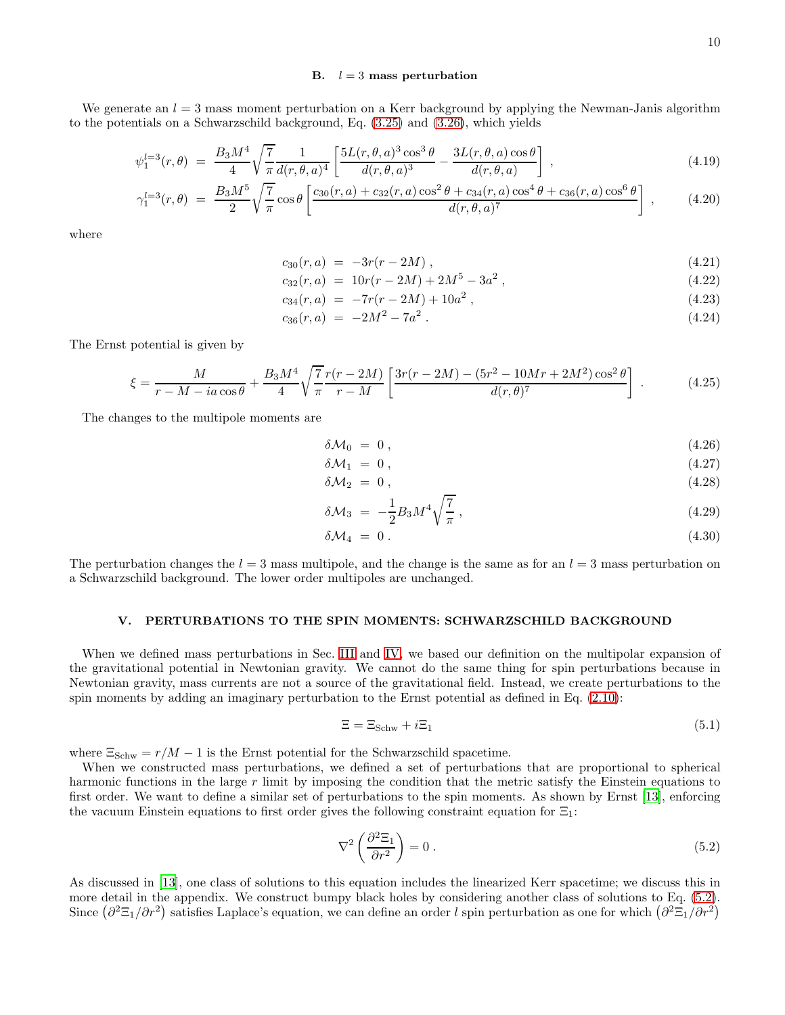### B.  $l = 3$  mass perturbation

We generate an  $l = 3$  mass moment perturbation on a Kerr background by applying the Newman-Janis algorithm to the potentials on a Schwarzschild background, Eq. [\(3.25\)](#page-6-2) and [\(3.26\)](#page-6-2), which yields

$$
\psi_1^{l=3}(r,\theta) = \frac{B_3 M^4}{4} \sqrt{\frac{7}{\pi}} \frac{1}{d(r,\theta,a)^4} \left[ \frac{5L(r,\theta,a)^3 \cos^3 \theta}{d(r,\theta,a)^3} - \frac{3L(r,\theta,a) \cos \theta}{d(r,\theta,a)} \right],
$$
\n(4.19)

$$
\gamma_1^{l=3}(r,\theta) = \frac{B_3 M^5}{2} \sqrt{\frac{7}{\pi}} \cos \theta \left[ \frac{c_{30}(r,a) + c_{32}(r,a) \cos^2 \theta + c_{34}(r,a) \cos^4 \theta + c_{36}(r,a) \cos^6 \theta}{d(r,\theta,a)^7} \right],
$$
(4.20)

where

$$
c_{30}(r,a) = -3r(r-2M), \qquad (4.21)
$$

$$
c_{32}(r,a) = 10r(r - 2M) + 2M^5 - 3a^2,
$$
\n(4.22)

$$
c_{34}(r,a) = -7r(r-2M) + 10a^2, \qquad (4.23)
$$

$$
c_{36}(r,a) = -2M^2 - 7a^2. \tag{4.24}
$$

The Ernst potential is given by

$$
\xi = \frac{M}{r - M - ia\cos\theta} + \frac{B_3 M^4}{4} \sqrt{\frac{7}{\pi}} \frac{r(r - 2M)}{r - M} \left[ \frac{3r(r - 2M) - (5r^2 - 10Mr + 2M^2)\cos^2\theta}{d(r, \theta)^7} \right] \,. \tag{4.25}
$$

The changes to the multipole moments are

$$
\delta \mathcal{M}_0 = 0, \qquad (4.26)
$$

$$
\delta \mathcal{M}_1 = 0, \tag{4.27}
$$

$$
\delta \mathcal{M}_2 = 0 \,, \tag{4.28}
$$

$$
\delta \mathcal{M}_3 = -\frac{1}{2} B_3 M^4 \sqrt{\frac{7}{\pi}} \,, \tag{4.29}
$$

$$
\delta \mathcal{M}_4 = 0. \tag{4.30}
$$

The perturbation changes the  $l = 3$  mass multipole, and the change is the same as for an  $l = 3$  mass perturbation on a Schwarzschild background. The lower order multipoles are unchanged.

# <span id="page-9-0"></span>V. PERTURBATIONS TO THE SPIN MOMENTS: SCHWARZSCHILD BACKGROUND

When we defined mass perturbations in Sec. [III](#page-5-0) and [IV,](#page-7-0) we based our definition on the multipolar expansion of the gravitational potential in Newtonian gravity. We cannot do the same thing for spin perturbations because in Newtonian gravity, mass currents are not a source of the gravitational field. Instead, we create perturbations to the spin moments by adding an imaginary perturbation to the Ernst potential as defined in Eq. [\(2.10\)](#page-3-0):

$$
\Xi = \Xi_{\text{Schw}} + i\Xi_1 \tag{5.1}
$$

where  $\Xi_{Schw} = r/M - 1$  is the Ernst potential for the Schwarzschild spacetime.

When we constructed mass perturbations, we defined a set of perturbations that are proportional to spherical harmonic functions in the large r limit by imposing the condition that the metric satisfy the Einstein equations to first order. We want to define a similar set of perturbations to the spin moments. As shown by Ernst [\[13\]](#page-14-12), enforcing the vacuum Einstein equations to first order gives the following constraint equation for  $\Xi_1$ :

<span id="page-9-1"></span>
$$
\nabla^2 \left( \frac{\partial^2 \Xi_1}{\partial r^2} \right) = 0 \tag{5.2}
$$

As discussed in [\[13\]](#page-14-12), one class of solutions to this equation includes the linearized Kerr spacetime; we discuss this in more detail in the appendix. We construct bumpy black holes by considering another class of solutions to Eq. [\(5.2\)](#page-9-1). Since  $(\partial^2 \Xi_1/\partial r^2)$  satisfies Laplace's equation, we can define an order l spin perturbation as one for which  $(\partial^2 \Xi_1/\partial r^2)$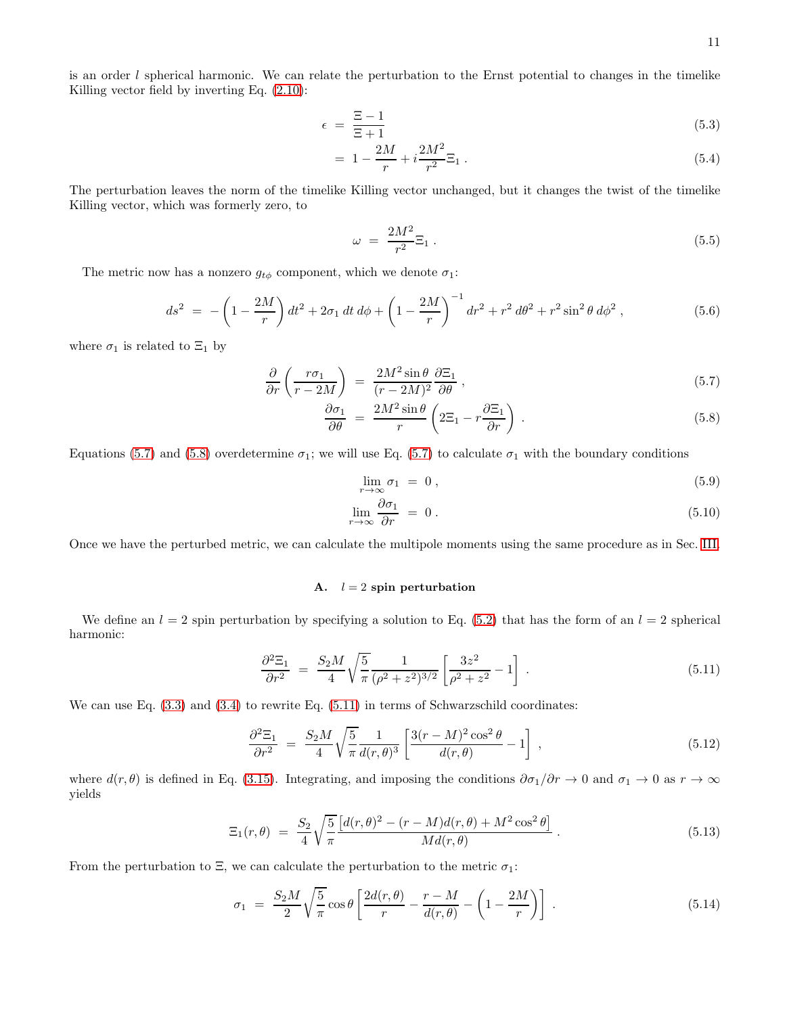is an order  $l$  spherical harmonic. We can relate the perturbation to the Ernst potential to changes in the timelike Killing vector field by inverting Eq. [\(2.10\)](#page-3-0):

$$
\epsilon = \frac{\Xi - 1}{\Xi + 1} \tag{5.3}
$$

$$
= 1 - \frac{2M}{r} + i \frac{2M^2}{r^2} \Xi_1 \,. \tag{5.4}
$$

The perturbation leaves the norm of the timelike Killing vector unchanged, but it changes the twist of the timelike Killing vector, which was formerly zero, to

$$
\omega = \frac{2M^2}{r^2} \Xi_1 \,. \tag{5.5}
$$

The metric now has a nonzero  $g_{t\phi}$  component, which we denote  $\sigma_1$ :

<span id="page-10-2"></span>
$$
ds^{2} = -\left(1 - \frac{2M}{r}\right)dt^{2} + 2\sigma_{1} dt d\phi + \left(1 - \frac{2M}{r}\right)^{-1} dr^{2} + r^{2} d\theta^{2} + r^{2} \sin^{2} \theta d\phi^{2}, \qquad (5.6)
$$

where  $\sigma_1$  is related to  $\Xi_1$  by

<span id="page-10-0"></span>
$$
\frac{\partial}{\partial r} \left( \frac{r \sigma_1}{r - 2M} \right) = \frac{2M^2 \sin \theta}{(r - 2M)^2} \frac{\partial \Xi_1}{\partial \theta} , \qquad (5.7)
$$

$$
\frac{\partial \sigma_1}{\partial \theta} = \frac{2M^2 \sin \theta}{r} \left( 2\Xi_1 - r \frac{\partial \Xi_1}{\partial r} \right) . \tag{5.8}
$$

Equations [\(5.7\)](#page-10-0) and [\(5.8\)](#page-10-0) overdetermine  $\sigma_1$ ; we will use Eq. (5.7) to calculate  $\sigma_1$  with the boundary conditions

$$
\lim_{r \to \infty} \sigma_1 = 0, \tag{5.9}
$$

$$
\lim_{r \to \infty} \frac{\partial \sigma_1}{\partial r} = 0.
$$
\n(5.10)

Once we have the perturbed metric, we can calculate the multipole moments using the same procedure as in Sec. [III.](#page-5-0)

# A.  $l = 2$  spin perturbation

We define an  $l = 2$  spin perturbation by specifying a solution to Eq. [\(5.2\)](#page-9-1) that has the form of an  $l = 2$  spherical harmonic:

<span id="page-10-1"></span>
$$
\frac{\partial^2 \Xi_1}{\partial r^2} = \frac{S_2 M}{4} \sqrt{\frac{5}{\pi}} \frac{1}{(\rho^2 + z^2)^{3/2}} \left[ \frac{3z^2}{\rho^2 + z^2} - 1 \right] . \tag{5.11}
$$

We can use Eq.  $(3.3)$  and  $(3.4)$  to rewrite Eq.  $(5.11)$  in terms of Schwarzschild coordinates:

$$
\frac{\partial^2 \Xi_1}{\partial r^2} = \frac{S_2 M}{4} \sqrt{\frac{5}{\pi}} \frac{1}{d(r,\theta)^3} \left[ \frac{3(r-M)^2 \cos^2 \theta}{d(r,\theta)} - 1 \right], \qquad (5.12)
$$

where  $d(r, \theta)$  is defined in Eq. [\(3.15\)](#page-6-3). Integrating, and imposing the conditions  $\partial \sigma_1/\partial r \to 0$  and  $\sigma_1 \to 0$  as  $r \to \infty$ yields

$$
\Xi_1(r,\theta) = \frac{S_2}{4} \sqrt{\frac{5}{\pi}} \frac{[d(r,\theta)^2 - (r-M)d(r,\theta) + M^2 \cos^2 \theta]}{Md(r,\theta)}.
$$
\n(5.13)

From the perturbation to  $\Xi$ , we can calculate the perturbation to the metric  $\sigma_1$ :

$$
\sigma_1 = \frac{S_2 M}{2} \sqrt{\frac{5}{\pi}} \cos \theta \left[ \frac{2d(r,\theta)}{r} - \frac{r-M}{d(r,\theta)} - \left( 1 - \frac{2M}{r} \right) \right] \,. \tag{5.14}
$$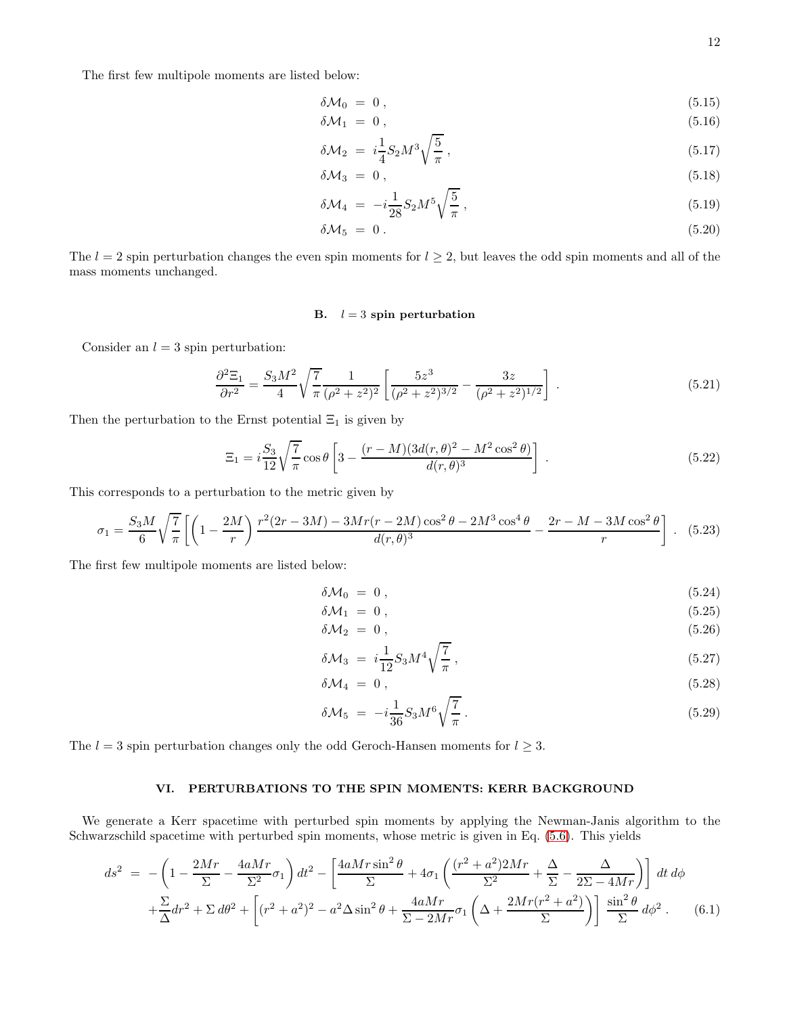The first few multipole moments are listed below:

$$
\delta \mathcal{M}_0 = 0 \,, \tag{5.15}
$$

δM<sup>1</sup> = 0 , (5.16) 1 r 5

$$
\delta \mathcal{M}_2 = i \frac{1}{4} S_2 M^3 \sqrt{\frac{9}{\pi}}, \qquad (5.17)
$$

$$
\delta \mathcal{M}_3 = 0 \,, \tag{5.18}
$$

$$
\delta \mathcal{M}_4 = -i \frac{1}{28} S_2 M^5 \sqrt{\frac{5}{\pi}} \,, \tag{5.19}
$$

$$
\delta \mathcal{M}_5 = 0. \tag{5.20}
$$

The  $l = 2$  spin perturbation changes the even spin moments for  $l \geq 2$ , but leaves the odd spin moments and all of the mass moments unchanged.

# B.  $l = 3$  spin perturbation

Consider an  $l = 3$  spin perturbation:

$$
\frac{\partial^2 \Xi_1}{\partial r^2} = \frac{S_3 M^2}{4} \sqrt{\frac{7}{\pi}} \frac{1}{(\rho^2 + z^2)^2} \left[ \frac{5z^3}{(\rho^2 + z^2)^{3/2}} - \frac{3z}{(\rho^2 + z^2)^{1/2}} \right] \,. \tag{5.21}
$$

Then the perturbation to the Ernst potential  $\Xi_1$  is given by

$$
\Xi_1 = i\frac{S_3}{12}\sqrt{\frac{7}{\pi}}\cos\theta \left[3 - \frac{(r - M)(3d(r, \theta)^2 - M^2\cos^2\theta)}{d(r, \theta)^3}\right] \,. \tag{5.22}
$$

This corresponds to a perturbation to the metric given by

$$
\sigma_1 = \frac{S_3 M}{6} \sqrt{\frac{7}{\pi}} \left[ \left( 1 - \frac{2M}{r} \right) \frac{r^2 (2r - 3M) - 3Mr(r - 2M)\cos^2\theta - 2M^3 \cos^4\theta}{d(r, \theta)^3} - \frac{2r - M - 3M \cos^2\theta}{r} \right] \,. \tag{5.23}
$$

The first few multipole moments are listed below:

$$
\delta \mathcal{M}_0 = 0 \,, \tag{5.24}
$$

$$
\delta \mathcal{M}_1 = 0 \,, \tag{5.25}
$$

$$
\delta \mathcal{M}_2 = 0 \,, \tag{5.26}
$$

$$
\delta \mathcal{M}_3 = i \frac{1}{12} S_3 M^4 \sqrt{\frac{7}{\pi}} \,, \tag{5.27}
$$

$$
\delta \mathcal{M}_4 = 0 \,, \tag{5.28}
$$

$$
\delta \mathcal{M}_5 = -i \frac{1}{36} S_3 M^6 \sqrt{\frac{7}{\pi}} \,. \tag{5.29}
$$

The  $l = 3$  spin perturbation changes only the odd Geroch-Hansen moments for  $l \geq 3$ .

# <span id="page-11-0"></span>VI. PERTURBATIONS TO THE SPIN MOMENTS: KERR BACKGROUND

We generate a Kerr spacetime with perturbed spin moments by applying the Newman-Janis algorithm to the Schwarzschild spacetime with perturbed spin moments, whose metric is given in Eq. [\(5.6\)](#page-10-2). This yields

$$
ds^{2} = -\left(1 - \frac{2Mr}{\Sigma} - \frac{4aMr}{\Sigma^{2}}\sigma_{1}\right)dt^{2} - \left[\frac{4aMr\sin^{2}\theta}{\Sigma} + 4\sigma_{1}\left(\frac{(r^{2} + a^{2})2Mr}{\Sigma^{2}} + \frac{\Delta}{\Sigma} - \frac{\Delta}{2\Sigma - 4Mr}\right)\right]dt d\phi
$$

$$
+ \frac{\Sigma}{\Delta}dr^{2} + \Sigma d\theta^{2} + \left[(r^{2} + a^{2})^{2} - a^{2}\Delta\sin^{2}\theta + \frac{4aMr}{\Sigma - 2Mr}\sigma_{1}\left(\Delta + \frac{2Mr(r^{2} + a^{2})}{\Sigma}\right)\right] \frac{\sin^{2}\theta}{\Sigma} d\phi^{2}.
$$
(6.1)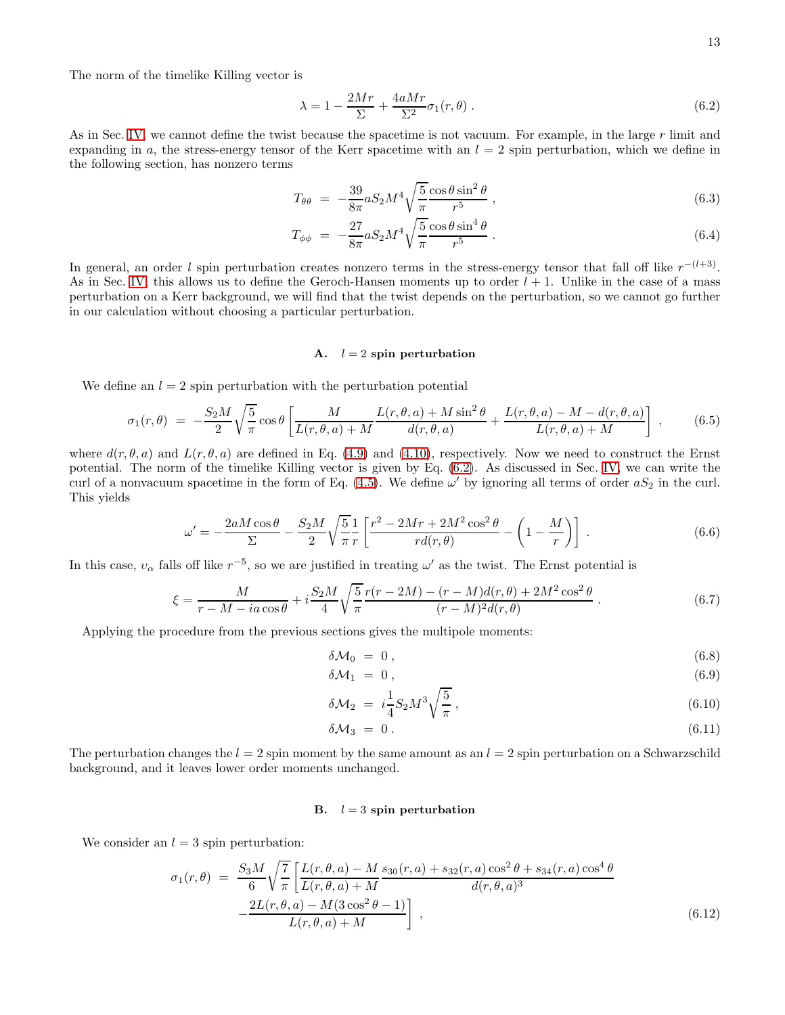The norm of the timelike Killing vector is

<span id="page-12-0"></span>
$$
\lambda = 1 - \frac{2Mr}{\Sigma} + \frac{4aMr}{\Sigma^2} \sigma_1(r, \theta) \tag{6.2}
$$

As in Sec. [IV,](#page-7-0) we cannot define the twist because the spacetime is not vacuum. For example, in the large r limit and expanding in a, the stress-energy tensor of the Kerr spacetime with an  $l = 2$  spin perturbation, which we define in the following section, has nonzero terms

$$
T_{\theta\theta} = -\frac{39}{8\pi} a S_2 M^4 \sqrt{\frac{5}{\pi}} \frac{\cos\theta \sin^2\theta}{r^5} , \qquad (6.3)
$$

$$
T_{\phi\phi} = -\frac{27}{8\pi} aS_2 M^4 \sqrt{\frac{5}{\pi}} \frac{\cos\theta \sin^4\theta}{r^5} \,. \tag{6.4}
$$

In general, an order l spin perturbation creates nonzero terms in the stress-energy tensor that fall off like  $r^{-(l+3)}$ . As in Sec. [IV,](#page-7-0) this allows us to define the Geroch-Hansen moments up to order  $l + 1$ . Unlike in the case of a mass perturbation on a Kerr background, we will find that the twist depends on the perturbation, so we cannot go further in our calculation without choosing a particular perturbation.

# A.  $l = 2$  spin perturbation

We define an  $l = 2$  spin perturbation with the perturbation potential

$$
\sigma_1(r,\theta) = -\frac{S_2M}{2}\sqrt{\frac{5}{\pi}}\cos\theta \left[\frac{M}{L(r,\theta,a)+M}\frac{L(r,\theta,a)+M\sin^2\theta}{d(r,\theta,a)} + \frac{L(r,\theta,a)-M-d(r,\theta,a)}{L(r,\theta,a)+M}\right],\tag{6.5}
$$

where  $d(r, \theta, a)$  and  $L(r, \theta, a)$  are defined in Eq. [\(4.9\)](#page-8-0) and [\(4.10\)](#page-8-0), respectively. Now we need to construct the Ernst potential. The norm of the timelike Killing vector is given by Eq. [\(6.2\)](#page-12-0). As discussed in Sec. [IV,](#page-7-0) we can write the curl of a nonvacuum spacetime in the form of Eq.  $(4.5)$ . We define  $\omega'$  by ignoring all terms of order  $aS_2$  in the curl. This yields

$$
\omega' = -\frac{2aM\cos\theta}{\Sigma} - \frac{S_2M}{2}\sqrt{\frac{5}{\pi}}\frac{1}{r}\left[\frac{r^2 - 2Mr + 2M^2\cos^2\theta}{r d(r,\theta)} - \left(1 - \frac{M}{r}\right)\right] \tag{6.6}
$$

In this case,  $v_\alpha$  falls off like  $r^{-5}$ , so we are justified in treating  $\omega'$  as the twist. The Ernst potential is

$$
\xi = \frac{M}{r - M - ia\cos\theta} + i\frac{S_2M}{4} \sqrt{\frac{5}{\pi}} \frac{r(r - 2M) - (r - M)d(r, \theta) + 2M^2\cos^2\theta}{(r - M)^2 d(r, \theta)}\,. \tag{6.7}
$$

Applying the procedure from the previous sections gives the multipole moments:

$$
\delta \mathcal{M}_0 = 0 \,, \tag{6.8}
$$

$$
\delta \mathcal{M}_1 = 0 \,, \tag{6.9}
$$

$$
\delta \mathcal{M}_2 = i \frac{1}{4} S_2 M^3 \sqrt{\frac{5}{\pi}} \,, \tag{6.10}
$$

$$
\delta \mathcal{M}_3 = 0. \tag{6.11}
$$

The perturbation changes the  $l = 2$  spin moment by the same amount as an  $l = 2$  spin perturbation on a Schwarzschild background, and it leaves lower order moments unchanged.

# B.  $l = 3$  spin perturbation

We consider an  $l = 3$  spin perturbation:

$$
\sigma_1(r,\theta) = \frac{S_3 M}{6} \sqrt{\frac{7}{\pi}} \left[ \frac{L(r,\theta,a) - M}{L(r,\theta,a) + M} \frac{s_{30}(r,a) + s_{32}(r,a)\cos^2\theta + s_{34}(r,a)\cos^4\theta}{d(r,\theta,a)^3} - \frac{2L(r,\theta,a) - M(3\cos^2\theta - 1)}{L(r,\theta,a) + M} \right],
$$
\n(6.12)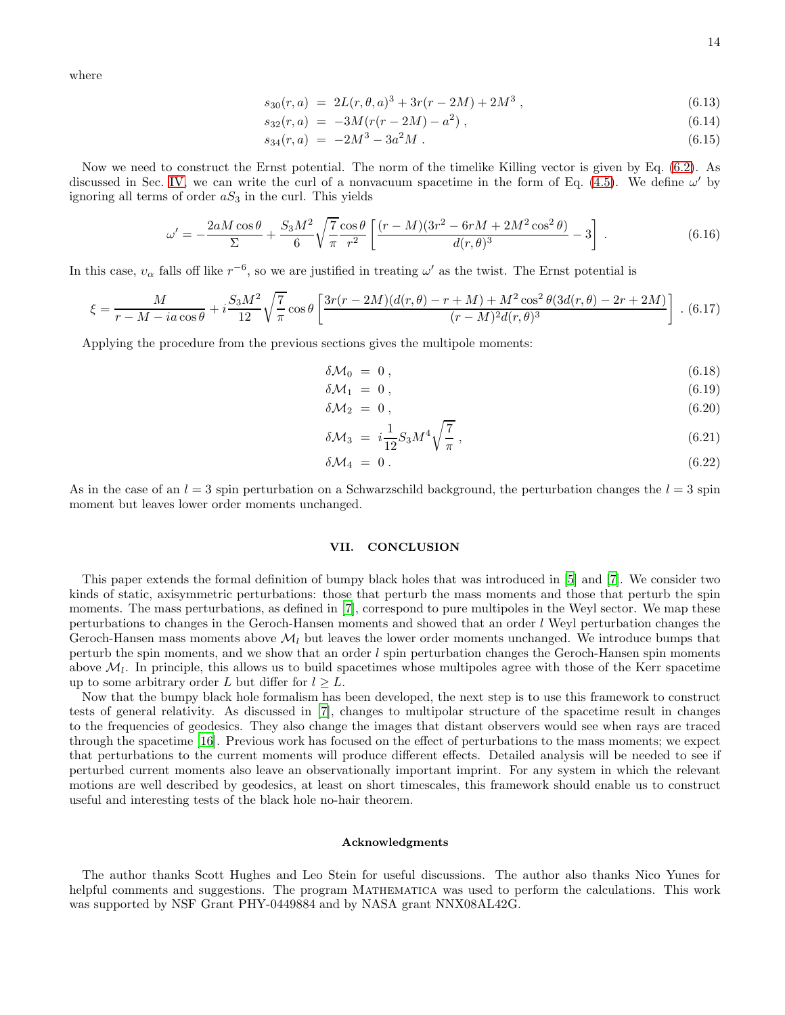where

$$
s_{30}(r,a) = 2L(r,\theta,a)^3 + 3r(r-2M) + 2M^3,
$$
\n(6.13)

$$
s_{32}(r,a) = -3M(r(r-2M) - a^2) , \qquad (6.14)
$$

$$
s_{34}(r,a) = -2M^3 - 3a^2M. \tag{6.15}
$$

Now we need to construct the Ernst potential. The norm of the timelike Killing vector is given by Eq. [\(6.2\)](#page-12-0). As discussed in Sec. [IV,](#page-7-0) we can write the curl of a nonvacuum spacetime in the form of Eq. [\(4.5\)](#page-8-1). We define  $\omega'$  by ignoring all terms of order  $aS_3$  in the curl. This yields

$$
\omega' = -\frac{2aM\cos\theta}{\Sigma} + \frac{S_3M^2}{6}\sqrt{\frac{7}{\pi}}\frac{\cos\theta}{r^2} \left[ \frac{(r-M)(3r^2 - 6rM + 2M^2\cos^2\theta)}{d(r,\theta)^3} - 3 \right] \,. \tag{6.16}
$$

In this case,  $v_\alpha$  falls off like  $r^{-6}$ , so we are justified in treating  $\omega'$  as the twist. The Ernst potential is

$$
\xi = \frac{M}{r - M - ia\cos\theta} + i\frac{S_3 M^2}{12} \sqrt{\frac{7}{\pi}} \cos\theta \left[ \frac{3r(r - 2M)(d(r, \theta) - r + M) + M^2 \cos^2\theta (3d(r, \theta) - 2r + 2M)}{(r - M)^2 d(r, \theta)^3} \right].
$$
 (6.17)

Applying the procedure from the previous sections gives the multipole moments:

$$
\delta \mathcal{M}_0 = 0, \qquad (6.18)
$$

$$
\delta \mathcal{M}_1 = 0, \tag{6.19}
$$

$$
\delta \mathcal{M}_2 = 0 \,, \tag{6.20}
$$

$$
\delta \mathcal{M}_3 = i \frac{1}{12} S_3 M^4 \sqrt{\frac{7}{\pi}} \,, \tag{6.21}
$$

$$
\delta \mathcal{M}_4 = 0. \tag{6.22}
$$

As in the case of an  $l = 3$  spin perturbation on a Schwarzschild background, the perturbation changes the  $l = 3$  spin moment but leaves lower order moments unchanged.

# <span id="page-13-0"></span>VII. CONCLUSION

This paper extends the formal definition of bumpy black holes that was introduced in [\[5\]](#page-14-4) and [\[7\]](#page-14-6). We consider two kinds of static, axisymmetric perturbations: those that perturb the mass moments and those that perturb the spin moments. The mass perturbations, as defined in [\[7](#page-14-6)], correspond to pure multipoles in the Weyl sector. We map these perturbations to changes in the Geroch-Hansen moments and showed that an order l Weyl perturbation changes the Geroch-Hansen mass moments above  $\mathcal{M}_l$  but leaves the lower order moments unchanged. We introduce bumps that perturb the spin moments, and we show that an order l spin perturbation changes the Geroch-Hansen spin moments above  $M_l$ . In principle, this allows us to build spacetimes whose multipoles agree with those of the Kerr spacetime up to some arbitrary order L but differ for  $l \geq L$ .

Now that the bumpy black hole formalism has been developed, the next step is to use this framework to construct tests of general relativity. As discussed in [\[7](#page-14-6)], changes to multipolar structure of the spacetime result in changes to the frequencies of geodesics. They also change the images that distant observers would see when rays are traced through the spacetime [\[16](#page-14-15)]. Previous work has focused on the effect of perturbations to the mass moments; we expect that perturbations to the current moments will produce different effects. Detailed analysis will be needed to see if perturbed current moments also leave an observationally important imprint. For any system in which the relevant motions are well described by geodesics, at least on short timescales, this framework should enable us to construct useful and interesting tests of the black hole no-hair theorem.

### Acknowledgments

The author thanks Scott Hughes and Leo Stein for useful discussions. The author also thanks Nico Yunes for helpful comments and suggestions. The program MATHEMATICA was used to perform the calculations. This work was supported by NSF Grant PHY-0449884 and by NASA grant NNX08AL42G.